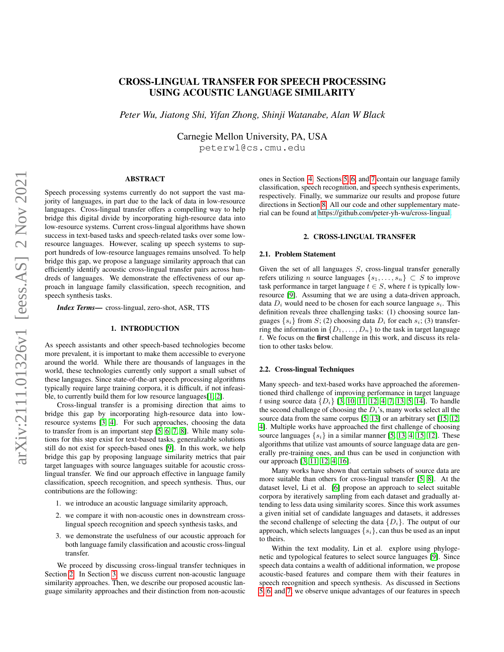# arXiv:2111.01326v1 [eess.AS] 2 Nov 2021arXiv:2111.01326v1 [eess.AS] 2 Nov 2021

# CROSS-LINGUAL TRANSFER FOR SPEECH PROCESSING USING ACOUSTIC LANGUAGE SIMILARITY

*Peter Wu, Jiatong Shi, Yifan Zhong, Shinji Watanabe, Alan W Black*

Carnegie Mellon University, PA, USA

peterw1@cs.cmu.edu

# ABSTRACT

Speech processing systems currently do not support the vast majority of languages, in part due to the lack of data in low-resource languages. Cross-lingual transfer offers a compelling way to help bridge this digital divide by incorporating high-resource data into low-resource systems. Current cross-lingual algorithms have shown success in text-based tasks and speech-related tasks over some lowresource languages. However, scaling up speech systems to support hundreds of low-resource languages remains unsolved. To help bridge this gap, we propose a language similarity approach that can efficiently identify acoustic cross-lingual transfer pairs across hundreds of languages. We demonstrate the effectiveness of our approach in language family classification, speech recognition, and speech synthesis tasks.

*Index Terms*— cross-lingual, zero-shot, ASR, TTS

# 1. INTRODUCTION

As speech assistants and other speech-based technologies become more prevalent, it is important to make them accessible to everyone around the world. While there are thousands of languages in the world, these technologies currently only support a small subset of these languages. Since state-of-the-art speech processing algorithms typically require large training corpora, it is difficult, if not infeasible, to currently build them for low resource languages[\[1,](#page-6-0) [2\]](#page-6-1).

Cross-lingual transfer is a promising direction that aims to bridge this gap by incorporating high-resource data into lowresource systems [\[3,](#page-6-2) [4\]](#page-6-3). For such approaches, choosing the data to transfer from is an important step [\[5,](#page-6-4) [6,](#page-6-5) [7,](#page-6-6) [8\]](#page-6-7). While many solutions for this step exist for text-based tasks, generalizable solutions still do not exist for speech-based ones [\[9\]](#page-6-8). In this work, we help bridge this gap by proposing language similarity metrics that pair target languages with source languages suitable for acoustic crosslingual transfer. We find our approach effective in language family classification, speech recognition, and speech synthesis. Thus, our contributions are the following:

- 1. we introduce an acoustic language similarity approach,
- 2. we compare it with non-acoustic ones in downstream crosslingual speech recognition and speech synthesis tasks, and
- 3. we demonstrate the usefulness of our acoustic approach for both language family classification and acoustic cross-lingual transfer.

We proceed by discussing cross-lingual transfer techniques in Section [2.](#page-0-0) In Section [3,](#page-1-0) we discuss current non-acoustic language similarity approaches. Then, we describe our proposed acoustic language similarity approaches and their distinction from non-acoustic

ones in Section [4.](#page-1-1) Sections [5,](#page-2-0) [6,](#page-3-0) and [7](#page-4-0) contain our language family classification, speech recognition, and speech synthesis experiments, respectively. Finally, we summarize our results and propose future directions in Section [8.](#page-5-0) All our code and other supplementary material can be found at [https://github.com/peter-yh-wu/cross-lingual.](https://github.com/peter-yh-wu/cross-lingual)

# 2. CROSS-LINGUAL TRANSFER

# <span id="page-0-1"></span><span id="page-0-0"></span>2.1. Problem Statement

Given the set of all languages  $S$ , cross-lingual transfer generally refers utilizing n source languages  $\{s_1, \ldots, s_n\} \subset S$  to improve task performance in target language  $t \in S$ , where t is typically lowresource [\[9\]](#page-6-8). Assuming that we are using a data-driven approach, data  $D_i$  would need to be chosen for each source language  $s_i$ . This definition reveals three challenging tasks: (1) choosing source languages  $\{s_i\}$  from S; (2) choosing data  $D_i$  for each  $s_i$ ; (3) transferring the information in  $\{D_1, \ldots, D_n\}$  to the task in target language t. We focus on the first challenge in this work, and discuss its relation to other tasks below.

# 2.2. Cross-lingual Techniques

Many speech- and text-based works have approached the aforementioned third challenge of improving performance in target language t using source data  $\{D_i\}$  [\[3,](#page-6-2) [10,](#page-6-9) [11,](#page-6-10) [12,](#page-6-11) [4,](#page-6-3) [7,](#page-6-6) [13,](#page-6-12) [5,](#page-6-4) [14\]](#page-6-13). To handle the second challenge of choosing the  $D_i$ 's, many works select all the source data from the same corpus [\[5,](#page-6-4) [13\]](#page-6-12) or an arbitrary set [\[15,](#page-6-14) [12,](#page-6-11) [4\]](#page-6-3). Multiple works have approached the first challenge of choosing source languages  $\{s_i\}$  in a similar manner [\[5,](#page-6-4) [13,](#page-6-12) [4,](#page-6-3) [15,](#page-6-14) [12\]](#page-6-11). These algorithms that utilize vast amounts of source language data are generally pre-training ones, and thus can be used in conjunction with our approach [\[3,](#page-6-2) [11,](#page-6-10) [12,](#page-6-11) [4,](#page-6-3) [16\]](#page-6-15).

Many works have shown that certain subsets of source data are more suitable than others for cross-lingual transfer [\[5,](#page-6-4) [8\]](#page-6-7). At the dataset level, Li et al. [\[6\]](#page-6-5) propose an approach to select suitable corpora by iteratively sampling from each dataset and gradually attending to less data using similarity scores. Since this work assumes a given initial set of candidate languages and datasets, it addresses the second challenge of selecting the data  $\{D_i\}$ . The output of our approach, which selects languages  $\{s_i\}$ , can thus be used as an input to theirs.

Within the text modality, Lin et al. explore using phylogenetic and typological features to select source languages [\[9\]](#page-6-8). Since speech data contains a wealth of additional information, we propose acoustic-based features and compare them with their features in speech recognition and speech synthesis. As discussed in Sections [5,](#page-2-0) [6,](#page-3-0) and [7,](#page-4-0) we observe unique advantages of our features in speech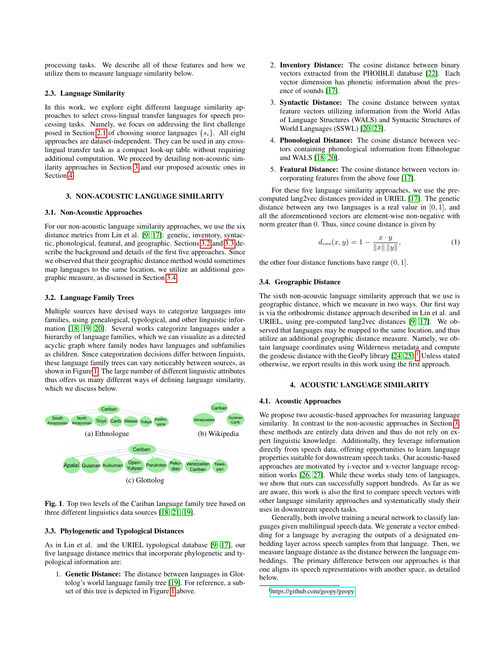processing tasks. We describe all of these features and how we utilize them to measure language similarity below.

### 2.3. Language Similarity

In this work, we explore eight different language similarity approaches to select cross-lingual transfer languages for speech processing tasks. Namely, we focus on addressing the first challenge posed in Section [2.1](#page-0-1) of choosing source languages  $\{s_i\}$ . All eight approaches are dataset-independent. They can be used in any crosslingual transfer task as a compact look-up table without requiring additional computation. We proceed by detailing non-acoustic similarity approaches in Section [3](#page-1-0) and our proposed acoustic ones in Section [4.](#page-1-1)

# 3. NON-ACOUSTIC LANGUAGE SIMILARITY

### <span id="page-1-0"></span>3.1. Non-Acoustic Approaches

For our non-acoustic language similarity approaches, we use the six distance metrics from Lin et al. [\[9,](#page-6-8) [17\]](#page-6-16): genetic, inventory, syntactic, phonological, featural, and geographic. Sections [3.2](#page-1-2) and [3.3](#page-1-3) describe the background and details of the first five approaches. Since we observed that their geographic distance method would sometimes map languages to the same location, we utilize an additional geographic measure, as discussed in Section [3.4.](#page-1-4)

# <span id="page-1-2"></span>3.2. Language Family Trees

Multiple sources have devised ways to categorize languages into families, using genealogical, typological, and other linguistic information [\[18,](#page-6-17) [19,](#page-6-18) [20\]](#page-6-19). Several works categorize languages under a hierarchy of language families, which we can visualize as a directed acyclic graph where family nodes have languages and subfamilies as children. Since categorization decisions differ between linguists, these language family trees can vary noticeably between sources, as shown in Figure [1.](#page-1-5) The large number of different linguistic attributes thus offers us many different ways of defining language similarity, which we discuss below.



<span id="page-1-5"></span>Fig. 1. Top two levels of the Cariban language family tree based on three different linguistics data sources [\[18,](#page-6-17) [21,](#page-6-20) [19\]](#page-6-18).

# <span id="page-1-3"></span>3.3. Phylogenetic and Typological Distances

As in Lin et al. and the URIEL typological database [\[9,](#page-6-8) [17\]](#page-6-16), our five language distance metrics that incorporate phylogenetic and typological information are:

1. Genetic Distance: The distance between languages in Glottolog's world language family tree [\[19\]](#page-6-18). For reference, a subset of this tree is depicted in Figure [1](#page-1-5) above.

- 2. Inventory Distance: The cosine distance between binary vectors extracted from the PHOIBLE database [\[22\]](#page-6-21). Each vector dimension has phonetic information about the presence of sounds [\[17\]](#page-6-16).
- 3. Syntactic Distance: The cosine distance between syntax feature vectors utilizing information from the World Atlas of Language Structures (WALS) and Syntactic Structures of World Languages (SSWL) [\[20,](#page-6-19) [23\]](#page-6-22).
- 4. Phonological Distance: The cosine distance between vectors containing phonological information from Ethnologue and WALS [\[18,](#page-6-17) [20\]](#page-6-19).
- 5. Featural Distance: The cosine distance between vectors incorporating features from the above four [\[17\]](#page-6-16).

For these five language similarity approaches, we use the precomputed lang2vec distances provided in URIEL [\[17\]](#page-6-16). The genetic distance between any two languages is a real value in [0, 1], and all the aforementioned vectors are element-wise non-negative with norm greater than 0. Thus, since cosine distance is given by

<span id="page-1-7"></span>
$$
d_{cos}(x, y) = 1 - \frac{x \cdot y}{\|x\| \|y\|},
$$
 (1)

the other four distance functions have range  $(0, 1]$ .

### <span id="page-1-4"></span>3.4. Geographic Distance

The sixth non-acoustic language similarity approach that we use is geographic distance, which we measure in two ways. Our first way is via the orthodromic distance approach described in Lin et al. and URIEL, using pre-computed lang2vec distances [\[9,](#page-6-8) [17\]](#page-6-16). We observed that languages may be mapped to the same location, and thus utilize an additional geographic distance measure. Namely, we obtain language coordinates using Wilderness metadata and compute the geodesic distance with the GeoPy library  $[24, 25]$  $[24, 25]$ .<sup>[1](#page-1-6)</sup> Unless stated otherwise, we report results in this work using the first approach.

# 4. ACOUSTIC LANGUAGE SIMILARITY

### <span id="page-1-8"></span><span id="page-1-1"></span>4.1. Acoustic Approaches

We propose two acoustic-based approaches for measuring language similarity. In contrast to the non-acoustic approaches in Section [3,](#page-1-0) these methods are entirely data driven and thus do not rely on expert linguistic knowledge. Additionally, they leverage information directly from speech data, offering opportunities to learn language properties suitable for downstream speech tasks. Our acoustic-based approaches are motivated by i-vector and x-vector language recognition works [\[26,](#page-6-25) [27\]](#page-6-26). While these works study tens of languages, we show that ours can successfully support hundreds. As far as we are aware, this work is also the first to compare speech vectors with other language similarity approaches and systematically study their uses in downstream speech tasks.

Generally, both involve training a neural network to classify languages given multilingual speech data. We generate a vector embedding for a language by averaging the outputs of a designated embedding layer across speech samples from that language. Then, we measure language distance as the distance between the language embeddings. The primary difference between our approaches is that one aligns its speech representations with another space, as detailed below.

<span id="page-1-6"></span><sup>1</sup><https://github.com/geopy/geopy>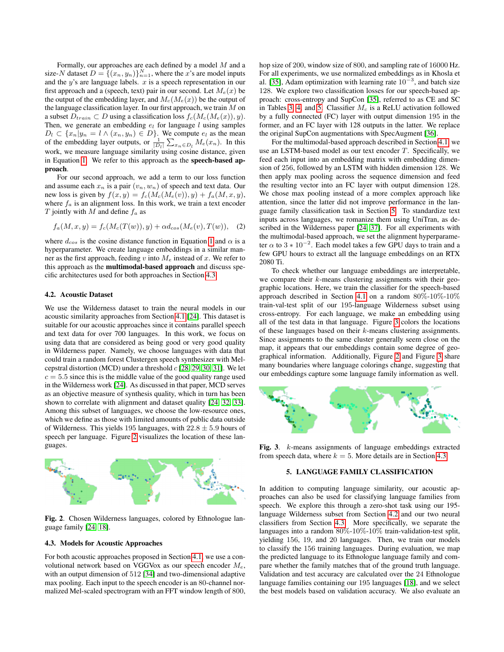Formally, our approaches are each defined by a model M and a size-N dataset  $D = \{(x_n, y_n)\}_{n=1}^N$ , where the x's are model inputs and the  $y$ 's are language labels.  $x$  is a speech representation in our first approach and a (speech, text) pair in our second. Let  $M_e(x)$  be the output of the embedding layer, and  $M_c(M_e(x))$  be the output of the language classification layer. In our first approach, we train  $M$  on a subset  $D_{train} \subset D$  using a classification loss  $f_c(M_c(M_e(x)), y)$ . Then, we generate an embedding  $e_l$  for language l using samples  $D_l \subset \{x_n | y_n = l \wedge (x_n, y_n) \in D\}$ . We compute  $e_l$  as the mean of the embedding layer outputs, or  $\frac{1}{|D_l|} \sum_{x_n \in D_l} M_e(x_n)$ . In this work, we measure language similarity using cosine distance, given in Equation [1.](#page-1-7) We refer to this approach as the speech-based approach.

For our second approach, we add a term to our loss function and assume each  $x_n$  is a pair  $(v_n, w_n)$  of speech and text data. Our new loss is given by  $f(x, y) = f_c(M_c(M_e(v)), y) + f_a(M, x, y),$ where  $f_a$  is an alignment loss. In this work, we train a text encoder T jointly with  $M$  and define  $f_a$  as

$$
f_a(M, x, y) = f_c(M_c(T(w)), y) + \alpha d_{cos}(M_e(v), T(w)), \quad (2)
$$

where  $d_{cos}$  is the cosine distance function in Equation [1](#page-1-7) and  $\alpha$  is a hyperparameter. We create language embeddings in a similar manner as the first approach, feeding v into  $M_e$  instead of x. We refer to this approach as the multimodal-based approach and discuss specific architectures used for both approaches in Section [4.3.](#page-2-1)

### <span id="page-2-4"></span>4.2. Acoustic Dataset

We use the Wilderness dataset to train the neural models in our acoustic similarity approaches from Section [4.1](#page-1-8) [\[24\]](#page-6-23). This dataset is suitable for our acoustic approaches since it contains parallel speech and text data for over 700 languages. In this work, we focus on using data that are considered as being good or very good quality in Wilderness paper. Namely, we choose languages with data that could train a random forest Clustergen speech synthesizer with Melcepstral distortion (MCD) under a threshold  $c$  [\[28,](#page-6-27) [29,](#page-6-28) [30,](#page-6-29) [31\]](#page-6-30). We let  $c = 5.5$  since this is the middle value of the good quality range used in the Wilderness work [\[24\]](#page-6-23). As discussed in that paper, MCD serves as an objective measure of synthesis quality, which in turn has been shown to correlate with alignment and dataset quality [\[24,](#page-6-23) [32,](#page-6-31) [33\]](#page-6-32). Among this subset of languages, we choose the low-resource ones, which we define as those with limited amounts of public data outside of Wilderness. This yields 195 languages, with  $22.8 \pm 5.9$  hours of speech per language. Figure [2](#page-2-2) visualizes the location of these languages.



<span id="page-2-2"></span>Fig. 2. Chosen Wilderness languages, colored by Ethnologue language family [\[24,](#page-6-23) [18\]](#page-6-17).

# <span id="page-2-1"></span>4.3. Models for Acoustic Approaches

For both acoustic approaches proposed in Section [4.1,](#page-1-8) we use a convolutional network based on VGGVox as our speech encoder  $M_e$ , with an output dimension of 512 [\[34\]](#page-7-0) and two-dimensional adaptive max pooling. Each input to the speech encoder is an 80-channel normalized Mel-scaled spectrogram with an FFT window length of 800,

hop size of 200, window size of 800, and sampling rate of 16000 Hz. For all experiments, we use normalized embeddings as in Khosla et al. [\[35\]](#page-7-1), Adam optimization with learning rate  $10^{-3}$ , and batch size 128. We explore two classification losses for our speech-based approach: cross-entropy and SupCon [\[35\]](#page-7-1), referred to as CE and SC in Tables [3,](#page-4-1) [4,](#page-4-2) and [5.](#page-4-3) Classifier  $M_c$  is a ReLU activation followed by a fully connected (FC) layer with output dimension 195 in the former, and an FC layer with 128 outputs in the latter. We replace the original SupCon augmentations with SpecAugment [\[36\]](#page-7-2).

For the multimodal-based approach described in Section [4.1,](#page-1-8) we use an LSTM-based model as our text encoder T. Specifically, we feed each input into an embedding matrix with embedding dimension of 256, followed by an LSTM with hidden dimension 128. We then apply max pooling across the sequence dimension and feed the resulting vector into an FC layer with output dimension 128. We chose max pooling instead of a more complex approach like attention, since the latter did not improve performance in the language family classification task in Section [5.](#page-2-0) To standardize text inputs across languages, we romanize them using UniTran, as described in the Wilderness paper [\[24,](#page-6-23) [37\]](#page-7-3). For all experiments with the multimodal-based approach, we set the alignment hyperparameter  $\alpha$  to 3  $* 10^{-2}$ . Each model takes a few GPU days to train and a few GPU hours to extract all the language embeddings on an RTX 2080 Ti.

To check whether our language embeddings are interpretable, we compare their k-means clustering assignments with their geographic locations. Here, we train the classifier for the speech-based approach described in Section [4.1](#page-1-8) on a random 80%-10%-10% train-val-test split of our 195-language Wilderness subset using cross-entropy. For each language, we make an embedding using all of the test data in that language. Figure [3](#page-2-3) colors the locations of these languages based on their k-means clustering assignments. Since assignments to the same cluster generally seem close on the map, it appears that our embeddings contain some degree of geographical information. Additionally, Figure [2](#page-2-2) and Figure [3](#page-2-3) share many boundaries where language colorings change, suggesting that our embeddings capture some language family information as well.



Fig. 3. k-means assignments of language embeddings extracted from speech data, where  $k = 5$ . More details are in Section [4.3.](#page-2-1)

# <span id="page-2-3"></span>5. LANGUAGE FAMILY CLASSIFICATION

<span id="page-2-0"></span>In addition to computing language similarity, our acoustic approaches can also be used for classifying language families from speech. We explore this through a zero-shot task using our 195 language Wilderness subset from Section [4.2](#page-2-4) and our two neural classifiers from Section [4.3.](#page-2-1) More specifically, we separate the languages into a random 80%-10%-10% train-validation-test split, yielding 156, 19, and 20 languages. Then, we train our models to classify the 156 training languages. During evaluation, we map the predicted language to its Ethnologue language family and compare whether the family matches that of the ground truth language. Validation and test accuracy are calculated over the 24 Ethnologue language families containing our 195 languages [\[18\]](#page-6-17), and we select the best models based on validation accuracy. We also evaluate an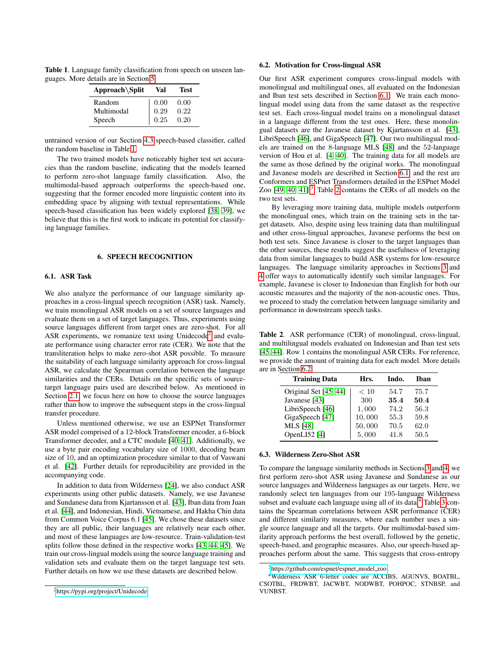Table 1. Language family classification from speech on unseen languages. More details are in Section [5.](#page-2-0)

<span id="page-3-1"></span>

| Approach\Split | Val  | Test |
|----------------|------|------|
| Random         | 0.00 | 0.00 |
| Multimodal     | 0.29 | 0.22 |
| Speech         | 0.25 | 0.20 |

untrained version of our Section [4.3](#page-2-1) speech-based classifier, called the random baseline in Table [1.](#page-3-1)

The two trained models have noticeably higher test set accuracies than the random baseline, indicating that the models learned to perform zero-shot language family classification. Also, the multimodal-based approach outperforms the speech-based one, suggesting that the former encoded more linguistic content into its embedding space by aligning with textual representations. While speech-based classification has been widely explored [\[38,](#page-7-4) [39\]](#page-7-5), we believe that this is the first work to indicate its potential for classifying language families.

# 6. SPEECH RECOGNITION

# <span id="page-3-3"></span><span id="page-3-0"></span>6.1. ASR Task

We also analyze the performance of our language similarity approaches in a cross-lingual speech recognition (ASR) task. Namely, we train monolingual ASR models on a set of source languages and evaluate them on a set of target languages. Thus, experiments using source languages different from target ones are zero-shot. For all ASR experiments, we romanize text using Unidecode<sup>[2](#page-3-2)</sup> and evaluate performance using character error rate (CER). We note that the transliteration helps to make zero-shot ASR possible. To measure the suitability of each language similarity approach for cross-lingual ASR, we calculate the Spearman correlation between the language similarities and the CERs. Details on the specific sets of sourcetarget language pairs used are described below. As mentioned in Section [2.1,](#page-0-1) we focus here on how to choose the source languages rather than how to improve the subsequent steps in the cross-lingual transfer procedure.

Unless mentioned otherwise, we use an ESPNet Transformer ASR model comprised of a 12-block Transformer encoder, a 6-block Transformer decoder, and a CTC module [\[40,](#page-7-6) [41\]](#page-7-7). Additionally, we use a byte pair encoding vocabulary size of 1000, decoding beam size of 10, and an optimization procedure similar to that of Vaswani et al. [\[42\]](#page-7-8). Further details for reproducibility are provided in the accompanying code.

In addition to data from Wilderness [\[24\]](#page-6-23), we also conduct ASR experiments using other public datasets. Namely, we use Javanese and Sundanese data from Kjartansson et al. [\[43\]](#page-7-9), Iban data from Juan et al. [\[44\]](#page-7-10), and Indonesian, Hindi, Vietnamese, and Hakha Chin data from Common Voice Corpus 6.1 [\[45\]](#page-7-11). We chose these datasets since they are all public, their languages are relatively near each other, and most of these languages are low-resource. Train-validation-test splits follow those defined in the respective works [\[43,](#page-7-9) [44,](#page-7-10) [45\]](#page-7-11). We train our cross-lingual models using the source language training and validation sets and evaluate them on the target language test sets. Further details on how we use these datasets are described below.

### <span id="page-3-6"></span>6.2. Motivation for Cross-lingual ASR

Our first ASR experiment compares cross-lingual models with monolingual and multilingual ones, all evaluated on the Indonesian and Iban test sets described in Section [6.1.](#page-3-3) We train each monolingual model using data from the same dataset as the respective test set. Each cross-lingual model trains on a monolingual dataset in a language different from the test ones. Here, these monolingual datasets are the Javanese dataset by Kjartansson et al. [\[43\]](#page-7-9), LibriSpeech [\[46\]](#page-7-12), and GigaSpeech [\[47\]](#page-7-13). Our two multilingual models are trained on the 8-language MLS [\[48\]](#page-7-14) and the 52-language version of Hou et al. [\[4,](#page-6-3) [40\]](#page-7-6). The training data for all models are the same as those defined by the original works. The monolingual and Javanese models are described in Section [6.1,](#page-3-3) and the rest are Conformers and ESPnet Transformers detailed in the ESPnet Model Zoo [\[49,](#page-7-15) [40,](#page-7-6) [41\]](#page-7-7).<sup>[3](#page-3-4)</sup> Table [2](#page-3-5) contains the CERs of all models on the two test sets.

By leveraging more training data, multiple models outperform the monolingual ones, which train on the training sets in the target datasets. Also, despite using less training data than multilingual and other cross-lingual approaches, Javanese performs the best on both test sets. Since Javanese is closer to the target languages than the other sources, these results suggest the usefulness of leveraging data from similar languages to build ASR systems for low-resource languages. The language similarity approaches in Sections [3](#page-1-0) and [4](#page-1-1) offer ways to automatically identify such similar languages. For example, Javanese is closer to Indonesian than English for both our acoustic measures and the majority of the non-acoustic ones. Thus, we proceed to study the correlation between language similarity and performance in downstream speech tasks.

<span id="page-3-5"></span>Table 2. ASR performance (CER) of monolingual, cross-lingual, and multilingual models evaluated on Indonesian and Iban test sets [\[45,](#page-7-11) [44\]](#page-7-10). Row 1 contains the monolingual ASR CERs. For reference, we provide the amount of training data for each model. More details are in Section [6.2.](#page-3-6)

| <b>Training Data</b>    | Hrs.   | Indo. | Ihan |
|-------------------------|--------|-------|------|
| Original Set [45, 44]   | < 10   | 54.7  | 75.7 |
| Javanese [43]           | 300    | 35.4  | 50.4 |
| LibriSpeech [46]        | 1,000  | 74.2  | 56.3 |
| GigaSpeech [47]         | 10,000 | 55.3  | 59.8 |
| <b>MLS</b> [48]         | 50,000 | 70.5  | 62.0 |
| OpenLI52 <sup>[4]</sup> | 5,000  | 41.8  | 50.5 |

### <span id="page-3-8"></span>6.3. Wilderness Zero-Shot ASR

To compare the language similarity methods in Sections [3](#page-1-0) and [4,](#page-1-1) we first perform zero-shot ASR using Javanese and Sundanese as our source languages and Wilderness languages as our targets. Here, we randomly select ten languages from our 195-language Wilderness subset and evaluate each language using all of its data.<sup>[4](#page-3-7)</sup> Table [3](#page-4-1) contains the Spearman correlations between ASR performance (CER) and different similarity measures, where each number uses a single source language and all the targets. Our multimodal-based similarity approach performs the best overall, followed by the genetic, speech-based, and geographic measures. Also, our speech-based approaches perform about the same. This suggests that cross-entropy

<span id="page-3-2"></span><sup>2</sup>[https://pypi.org/project/Unidecode](https://pypi.org/project/Unidecode/)

<span id="page-3-7"></span><span id="page-3-4"></span><sup>&</sup>lt;sup>3</sup>[https://github.com/espnet/espnet](https://github.com/espnet/espnet_model_zoo)\_model\_zoo

<sup>4</sup>Wilderness ASR 6-letter codes are ACCIBS, AGUNVS, BOATBL, CSOTBL, FRDWBT, JACWBT, NODWBT, POHPOC, STNBSP, and VUNBST.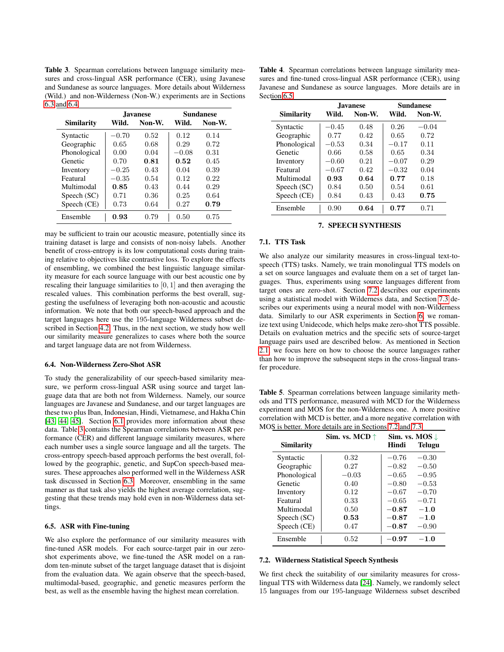<span id="page-4-1"></span>Table 3. Spearman correlations between language similarity measures and cross-lingual ASR performance (CER), using Javanese and Sundanese as source languages. More details about Wilderness (Wild.) and non-Wilderness (Non-W.) experiments are in Sections [6.3](#page-3-8) and [6.4.](#page-4-4)

|              |         | <b>Javanese</b> | Sundanese |        |  |  |
|--------------|---------|-----------------|-----------|--------|--|--|
| Similarity   | Wild.   | Non-W.          | Wild.     | Non-W. |  |  |
| Syntactic    | $-0.70$ | 0.52            | 0.12      | 0.14   |  |  |
| Geographic   | 0.65    | 0.68            | 0.29      | 0.72   |  |  |
| Phonological | 0.00    | 0.04            | $-0.08$   | 0.31   |  |  |
| Genetic      | 0.70    | 0.81            | 0.52      | 0.45   |  |  |
| Inventory    | $-0.25$ | 0.43            | 0.04      | 0.39   |  |  |
| Featural     | $-0.35$ | 0.54            | 0.12      | 0.22   |  |  |
| Multimodal   | 0.85    | 0.43            | 0.44      | 0.29   |  |  |
| Speech (SC)  | 0.71    | 0.36            | 0.25      | 0.64   |  |  |
| Speech (CE)  | 0.73    | 0.64            | 0.27      | 0.79   |  |  |
| Ensemble     | 0.93    | 0.79            | 0.50      | 0.75   |  |  |

may be sufficient to train our acoustic measure, potentially since its training dataset is large and consists of non-noisy labels. Another benefit of cross-entropy is its low computational costs during training relative to objectives like contrastive loss. To explore the effects of ensembling, we combined the best linguistic language similarity measure for each source language with our best acoustic one by rescaling their language similarities to [0, 1] and then averaging the rescaled values. This combination performs the best overall, suggesting the usefulness of leveraging both non-acoustic and acoustic information. We note that both our speech-based approach and the target languages here use the 195-language Wilderness subset described in Section [4.2.](#page-2-4) Thus, in the next section, we study how well our similarity measure generalizes to cases where both the source and target language data are not from Wilderness.

### <span id="page-4-4"></span>6.4. Non-Wilderness Zero-Shot ASR

To study the generalizability of our speech-based similarity measure, we perform cross-lingual ASR using source and target language data that are both not from Wilderness. Namely, our source languages are Javanese and Sundanese, and our target languages are these two plus Iban, Indonesian, Hindi, Vietnamese, and Hakha Chin [\[43,](#page-7-9) [44,](#page-7-10) [45\]](#page-7-11). Section [6.1](#page-3-3) provides more information about these data. Table [3](#page-4-1) contains the Spearman correlations between ASR performance (CER) and different language similarity measures, where each number uses a single source language and all the targets. The cross-entropy speech-based approach performs the best overall, followed by the geographic, genetic, and SupCon speech-based measures. These approaches also performed well in the Wilderness ASR task discussed in Section [6.3.](#page-3-8) Moreover, ensembling in the same manner as that task also yields the highest average correlation, suggesting that these trends may hold even in non-Wilderness data settings.

# <span id="page-4-5"></span>6.5. ASR with Fine-tuning

We also explore the performance of our similarity measures with fine-tuned ASR models. For each source-target pair in our zeroshot experiments above, we fine-tuned the ASR model on a random ten-minute subset of the target language dataset that is disjoint from the evaluation data. We again observe that the speech-based, multimodal-based, geographic, and genetic measures perform the best, as well as the ensemble having the highest mean correlation.

<span id="page-4-2"></span>Table 4. Spearman correlations between language similarity measures and fine-tuned cross-lingual ASR performance (CER), using Javanese and Sundanese as source languages. More details are in Section [6.5.](#page-4-5)

|                   |         | <b>Javanese</b> | <b>Sundanese</b> |         |  |  |  |
|-------------------|---------|-----------------|------------------|---------|--|--|--|
| <b>Similarity</b> | Wild.   | Non-W.          | Wild.            | Non-W.  |  |  |  |
| Syntactic         | $-0.45$ | 0.48            | 0.26             | $-0.04$ |  |  |  |
| Geographic        | 0.77    | 0.42            | 0.65             | 0.72    |  |  |  |
| Phonological      | $-0.53$ | 0.34            | $-0.17$          | 0.11    |  |  |  |
| Genetic           | 0.66    | 0.58            | 0.65             | 0.34    |  |  |  |
| Inventory         | $-0.60$ | 0.21            | $-0.07$          | 0.29    |  |  |  |
| Featural          | $-0.67$ | 0.42            | $-0.32$          | 0.04    |  |  |  |
| Multimodal        | 0.93    | 0.64            | 0.77             | 0.18    |  |  |  |
| Speech (SC)       | 0.84    | 0.50            | 0.54             | 0.61    |  |  |  |
| Speech (CE)       | 0.84    | 0.43            | 0.43             | 0.75    |  |  |  |
| Ensemble          | 0.90    | 0.64            | 0.77             | 0.71    |  |  |  |

### 7. SPEECH SYNTHESIS

### <span id="page-4-0"></span>7.1. TTS Task

We also analyze our similarity measures in cross-lingual text-tospeech (TTS) tasks. Namely, we train monolingual TTS models on a set on source languages and evaluate them on a set of target languages. Thus, experiments using source languages different from target ones are zero-shot. Section [7.2](#page-4-6) describes our experiments using a statistical model with Wilderness data, and Section [7.3](#page-5-1) describes our experiments using a neural model with non-Wilderness data. Similarly to our ASR experiments in Section [6,](#page-3-0) we romanize text using Unidecode, which helps make zero-shot TTS possible. Details on evaluation metrics and the specific sets of source-target language pairs used are described below. As mentioned in Section [2.1,](#page-0-1) we focus here on how to choose the source languages rather than how to improve the subsequent steps in the cross-lingual transfer procedure.

<span id="page-4-3"></span>Table 5. Spearman correlations between language similarity methods and TTS performance, measured with MCD for the Wilderness experiment and MOS for the non-Wilderness one. A more positive correlation with MCD is better, and a more negative correlation with MOS is better. More details are in Sections [7.2](#page-4-6) and [7.3.](#page-5-1)

|                   | Sim. vs. MCD $\uparrow$ | Sim. vs. MOS $\downarrow$ |               |  |
|-------------------|-------------------------|---------------------------|---------------|--|
| <b>Similarity</b> |                         | Hindi                     | <b>Telugu</b> |  |
| Syntactic         | 0.32                    | $-0.76$                   | $-0.30$       |  |
| Geographic        | 0.27                    | $-0.82$                   | $-0.50$       |  |
| Phonological      | $-0.03$                 | $-0.65$                   | $-0.95$       |  |
| Genetic           | 0.40                    | $-0.80$                   | $-0.53$       |  |
| Inventory         | 0.12                    | $-0.67$                   | $-0.70$       |  |
| Featural          | 0.33                    | $-0.65$                   | $-0.71$       |  |
| Multimodal        | 0.50                    | $-0.87$                   | $-1.0$        |  |
| Speech (SC)       | 0.53                    | $-0.87$                   | $-1.0$        |  |
| Speech (CE)       | 0.47                    | $-0.87$                   | $-0.90$       |  |
| Ensemble          | 0.52                    | $-0.97$                   | $-1.0$        |  |

### <span id="page-4-6"></span>7.2. Wilderness Statistical Speech Synthesis

We first check the suitability of our similarity measures for crosslingual TTS with Wilderness data [\[24\]](#page-6-23). Namely, we randomly select 15 languages from our 195-language Wilderness subset described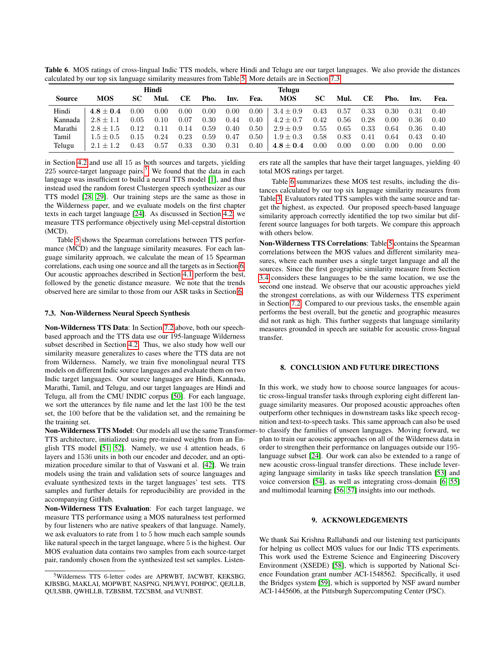<span id="page-5-3"></span>Table 6. MOS ratings of cross-lingual Indic TTS models, where Hindi and Telugu are our target languages. We also provide the distances calculated by our top six language similarity measures from Table [5.](#page-4-3) More details are in Section [7.3.](#page-5-1)

|         | Hindi       |      |      |           |      |      |          | <b>Telugu</b> |           |      |           |      |      |      |
|---------|-------------|------|------|-----------|------|------|----------|---------------|-----------|------|-----------|------|------|------|
| Source  | <b>MOS</b>  | SС   | Mul. | <b>CE</b> | Pho. | Inv. | Fea.     | <b>MOS</b>    | <b>SC</b> | Mul. | <b>CE</b> | Pho. | Inv. | Fea. |
| Hindi   | $4.8 + 0.4$ | 0.00 | 0.00 | 0.00      | 0.00 | 0.00 | $0.00\,$ | $3.4 \pm 0.9$ | 0.43      | 0.57 | 0.33      | 0.30 | 0.31 | 0.40 |
| Kannada | $2.8 + 1.1$ | 0.05 | 0.10 | 0.07      | 0.30 | 0.44 | $0.40\,$ | $4.2 \pm 0.7$ | 0.42      | 0.56 | 0.28      | 0.00 | 0.36 | 0.40 |
| Marathi | $2.8 + 1.5$ | 0.12 | 0.11 | 0.14      | 0.59 | 0.40 | 0.50     | $2.9 \pm 0.9$ | 0.55      | 0.65 | 0.33      | 0.64 | 0.36 | 0.40 |
| Tamil   | $1.5 + 0.5$ | 0.15 | 0.24 | 0.23      | 0.59 | 0.47 | 0.50     | $1.9 \pm 0.3$ | 0.58      | 0.83 | 0.41      | 0.64 | 0.43 | 0.40 |
| Telugu  | $2.1 + 1.2$ | 0.43 | 0.57 | 0.33      | 0.30 | 0.31 | $0.40\,$ | $4.8\pm0.4$   | 0.00      | 0.00 | 0.00      | 0.00 | 0.00 | 0.00 |

in Section [4.2](#page-2-4) and use all 15 as both sources and targets, yielding  $225$  $225$  source-target language pairs.<sup>5</sup> We found that the data in each language was insufficient to build a neural TTS model [\[1\]](#page-6-0), and thus instead used the random forest Clustergen speech synthesizer as our TTS model [\[28,](#page-6-27) [29\]](#page-6-28). Our training steps are the same as those in the Wilderness paper, and we evaluate models on the first chapter texts in each target language [\[24\]](#page-6-23). As discussed in Section [4.2,](#page-2-4) we measure TTS performance objectively using Mel-cepstral distortion (MCD).

Table [5](#page-4-3) shows the Spearman correlations between TTS performance (MCD) and the language similarity measures. For each language similarity approach, we calculate the mean of 15 Spearman correlations, each using one source and all the targets as in Section [6.](#page-3-0) Our acoustic approaches described in Section [4.1](#page-1-8) perform the best, followed by the genetic distance measure. We note that the trends observed here are similar to those from our ASR tasks in Section [6.](#page-3-0)

# <span id="page-5-1"></span>7.3. Non-Wilderness Neural Speech Synthesis

Non-Wilderness TTS Data: In Section [7.2](#page-4-6) above, both our speechbased approach and the TTS data use our 195-language Wilderness subset described in Section [4.2.](#page-2-4) Thus, we also study how well our similarity measure generalizes to cases where the TTS data are not from Wilderness. Namely, we train five monolingual neural TTS models on different Indic source languages and evaluate them on two Indic target languages. Our source languages are Hindi, Kannada, Marathi, Tamil, and Telugu, and our target languages are Hindi and Telugu, all from the CMU INDIC corpus [\[50\]](#page-7-16). For each language, we sort the utterances by file name and let the last 100 be the test set, the 100 before that be the validation set, and the remaining be the training set.

TTS architecture, initialized using pre-trained weights from an English TTS model [\[51,](#page-7-17) [52\]](#page-7-18). Namely, we use 4 attention heads, 6 layers and 1536 units in both our encoder and decoder, and an optimization procedure similar to that of Vaswani et al. [\[42\]](#page-7-8). We train models using the train and validation sets of source languages and evaluate synthesized texts in the target languages' test sets. TTS samples and further details for reproducibility are provided in the accompanying GitHub.

Non-Wilderness TTS Evaluation: For each target language, we measure TTS performance using a MOS naturalness test performed by four listeners who are native speakers of that language. Namely, we ask evaluators to rate from 1 to 5 how much each sample sounds like natural speech in the target language, where 5 is the highest. Our MOS evaluation data contains two samples from each source-target pair, randomly chosen from the synthesized test set samples. Listeners rate all the samples that have their target languages, yielding 40 total MOS ratings per target.

Table [6](#page-5-3) summarizes these MOS test results, including the distances calculated by our top six language similarity measures from Table [3.](#page-4-1) Evaluators rated TTS samples with the same source and target the highest, as expected. Our proposed speech-based language similarity approach correctly identified the top two similar but different source languages for both targets. We compare this approach with others below.

Non-Wilderness TTS Correlations: Table [5](#page-4-3) contains the Spearman correlations between the MOS values and different similarity measures, where each number uses a single target language and all the sources. Since the first geographic similarity measure from Section [3.4](#page-1-4) considers these languages to be the same location, we use the second one instead. We observe that our acoustic approaches yield the strongest correlations, as with our Wilderness TTS experiment in Section [7.2.](#page-4-6) Compared to our previous tasks, the ensemble again performs the best overall, but the genetic and geographic measures did not rank as high. This further suggests that language similarity measures grounded in speech are suitable for acoustic cross-lingual transfer.

# <span id="page-5-0"></span>8. CONCLUSION AND FUTURE DIRECTIONS

Non-Wilderness TTS Model: Our models all use the same Transformer- to classify the families of unseen languages. Moving forward, we In this work, we study how to choose source languages for acoustic cross-lingual transfer tasks through exploring eight different language similarity measures. Our proposed acoustic approaches often outperform other techniques in downstream tasks like speech recognition and text-to-speech tasks. This same approach can also be used plan to train our acoustic approaches on all of the Wilderness data in order to strengthen their performance on languages outside our 195 language subset [\[24\]](#page-6-23). Our work can also be extended to a range of new acoustic cross-lingual transfer directions. These include leveraging language similarity in tasks like speech translation [\[53\]](#page-7-19) and voice conversion [\[54\]](#page-7-20), as well as integrating cross-domain [\[6,](#page-6-5) [55\]](#page-7-21) and multimodal learning [\[56,](#page-7-22) [57\]](#page-7-23) insights into our methods.

### 9. ACKNOWLEDGEMENTS

We thank Sai Krishna Rallabandi and our listening test participants for helping us collect MOS values for our Indic TTS experiments. This work used the Extreme Science and Engineering Discovery Environment (XSEDE) [\[58\]](#page-7-24), which is supported by National Science Foundation grant number ACI-1548562. Specifically, it used the Bridges system [\[59\]](#page-7-25), which is supported by NSF award number ACI-1445606, at the Pittsburgh Supercomputing Center (PSC).

<span id="page-5-2"></span><sup>5</sup>Wilderness TTS 6-letter codes are APRWBT, JACWBT, KEKSBG, KJBSBG, MAKLAI, MOPWBT, NASPNG, NPLWYI, POHPOC, QEJLLB, QULSBB, QWHLLB, TZBSBM, TZCSBM, and VUNBST.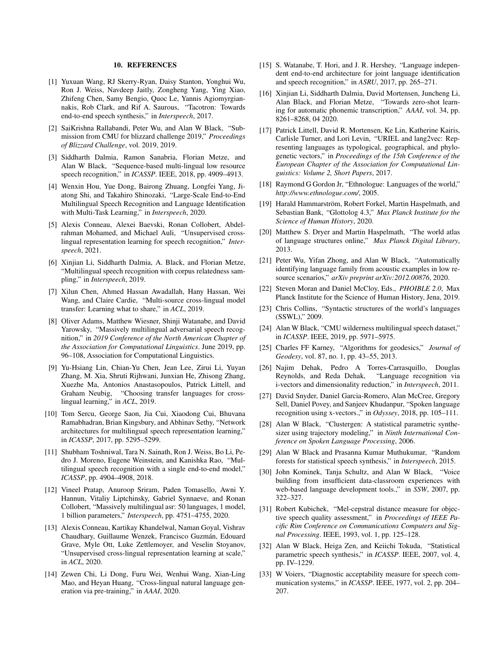### 10. REFERENCES

- <span id="page-6-0"></span>[1] Yuxuan Wang, RJ Skerry-Ryan, Daisy Stanton, Yonghui Wu, Ron J. Weiss, Navdeep Jaitly, Zongheng Yang, Ying Xiao, Zhifeng Chen, Samy Bengio, Quoc Le, Yannis Agiomyrgiannakis, Rob Clark, and Rif A. Saurous, "Tacotron: Towards end-to-end speech synthesis," in *Interspeech*, 2017.
- <span id="page-6-1"></span>[2] SaiKrishna Rallabandi, Peter Wu, and Alan W Black, "Submission from CMU for blizzard challenge 2019," *Proceedings of Blizzard Challenge*, vol. 2019, 2019.
- <span id="page-6-2"></span>[3] Siddharth Dalmia, Ramon Sanabria, Florian Metze, and Alan W Black, "Sequence-based multi-lingual low resource speech recognition," in *ICASSP*. IEEE, 2018, pp. 4909–4913.
- <span id="page-6-3"></span>[4] Wenxin Hou, Yue Dong, Bairong Zhuang, Longfei Yang, Jiatong Shi, and Takahiro Shinozaki, "Large-Scale End-to-End Multilingual Speech Recognition and Language Identification with Multi-Task Learning," in *Interspeech*, 2020.
- <span id="page-6-4"></span>[5] Alexis Conneau, Alexei Baevski, Ronan Collobert, Abdelrahman Mohamed, and Michael Auli, "Unsupervised crosslingual representation learning for speech recognition," *Interspeech*, 2021.
- <span id="page-6-5"></span>[6] Xinjian Li, Siddharth Dalmia, A. Black, and Florian Metze, "Multilingual speech recognition with corpus relatedness sampling," in *Interspeech*, 2019.
- <span id="page-6-6"></span>[7] Xilun Chen, Ahmed Hassan Awadallah, Hany Hassan, Wei Wang, and Claire Cardie, "Multi-source cross-lingual model transfer: Learning what to share," in *ACL*, 2019.
- <span id="page-6-7"></span>[8] Oliver Adams, Matthew Wiesner, Shinji Watanabe, and David Yarowsky, "Massively multilingual adversarial speech recognition," in *2019 Conference of the North American Chapter of the Association for Computational Linguistics*. June 2019, pp. 96–108, Association for Computational Linguistics.
- <span id="page-6-8"></span>[9] Yu-Hsiang Lin, Chian-Yu Chen, Jean Lee, Zirui Li, Yuyan Zhang, M. Xia, Shruti Rijhwani, Junxian He, Zhisong Zhang, Xuezhe Ma, Antonios Anastasopoulos, Patrick Littell, and Graham Neubig, "Choosing transfer languages for crosslingual learning," in *ACL*, 2019.
- <span id="page-6-9"></span>[10] Tom Sercu, George Saon, Jia Cui, Xiaodong Cui, Bhuvana Ramabhadran, Brian Kingsbury, and Abhinav Sethy, "Network architectures for multilingual speech representation learning," in *ICASSP*, 2017, pp. 5295–5299.
- <span id="page-6-10"></span>[11] Shubham Toshniwal, Tara N. Sainath, Ron J. Weiss, Bo Li, Pedro J. Moreno, Eugene Weinstein, and Kanishka Rao, "Multilingual speech recognition with a single end-to-end model," *ICASSP*, pp. 4904–4908, 2018.
- <span id="page-6-11"></span>[12] Vineel Pratap, Anuroop Sriram, Paden Tomasello, Awni Y. Hannun, Vitaliy Liptchinsky, Gabriel Synnaeve, and Ronan Collobert, "Massively multilingual asr: 50 languages, 1 model, 1 billion parameters," *Interspeech*, pp. 4751–4755, 2020.
- <span id="page-6-12"></span>[13] Alexis Conneau, Kartikay Khandelwal, Naman Goyal, Vishrav Chaudhary, Guillaume Wenzek, Francisco Guzmán, Edouard Grave, Myle Ott, Luke Zettlemoyer, and Veselin Stoyanov, "Unsupervised cross-lingual representation learning at scale," in *ACL*, 2020.
- <span id="page-6-13"></span>[14] Zewen Chi, Li Dong, Furu Wei, Wenhui Wang, Xian-Ling Mao, and Heyan Huang, "Cross-lingual natural language generation via pre-training," in *AAAI*, 2020.
- <span id="page-6-14"></span>[15] S. Watanabe, T. Hori, and J. R. Hershey, "Language independent end-to-end architecture for joint language identification and speech recognition," in *ASRU*, 2017, pp. 265–271.
- <span id="page-6-15"></span>[16] Xinjian Li, Siddharth Dalmia, David Mortensen, Juncheng Li, Alan Black, and Florian Metze, "Towards zero-shot learning for automatic phonemic transcription," *AAAI*, vol. 34, pp. 8261–8268, 04 2020.
- <span id="page-6-16"></span>[17] Patrick Littell, David R. Mortensen, Ke Lin, Katherine Kairis, Carlisle Turner, and Lori Levin, "URIEL and lang2vec: Representing languages as typological, geographical, and phylogenetic vectors," in *Proceedings of the 15th Conference of the European Chapter of the Association for Computational Linguistics: Volume 2, Short Papers*, 2017.
- <span id="page-6-17"></span>[18] Raymond G Gordon Jr, "Ethnologue: Languages of the world," *http://www.ethnologue.com/*, 2005.
- <span id="page-6-18"></span>[19] Harald Hammarström, Robert Forkel, Martin Haspelmath, and Sebastian Bank, "Glottolog 4.3," *Max Planck Institute for the Science of Human History*, 2020.
- <span id="page-6-19"></span>[20] Matthew S. Dryer and Martin Haspelmath, "The world atlas of language structures online," *Max Planck Digital Library*, 2013.
- <span id="page-6-20"></span>[21] Peter Wu, Yifan Zhong, and Alan W Black, "Automatically identifying language family from acoustic examples in low resource scenarios," *arXiv preprint arXiv:2012.00876*, 2020.
- <span id="page-6-21"></span>[22] Steven Moran and Daniel McCloy, Eds., *PHOIBLE 2.0*, Max Planck Institute for the Science of Human History, Jena, 2019.
- <span id="page-6-22"></span>[23] Chris Collins, "Syntactic structures of the world's languages (SSWL)," 2009.
- <span id="page-6-23"></span>[24] Alan W Black, "CMU wilderness multilingual speech dataset," in *ICASSP*. IEEE, 2019, pp. 5971–5975.
- <span id="page-6-24"></span>[25] Charles FF Karney, "Algorithms for geodesics," *Journal of Geodesy*, vol. 87, no. 1, pp. 43–55, 2013.
- <span id="page-6-25"></span>[26] Najim Dehak, Pedro A Torres-Carrasquillo, Douglas Reynolds, and Reda Dehak, i-vectors and dimensionality reduction," in *Interspeech*, 2011.
- <span id="page-6-26"></span>[27] David Snyder, Daniel Garcia-Romero, Alan McCree, Gregory Sell, Daniel Povey, and Sanjeev Khudanpur, "Spoken language recognition using x-vectors.," in *Odyssey*, 2018, pp. 105–111.
- <span id="page-6-27"></span>[28] Alan W Black, "Clustergen: A statistical parametric synthesizer using trajectory modeling," in *Ninth International Conference on Spoken Language Processing*, 2006.
- <span id="page-6-28"></span>[29] Alan W Black and Prasanna Kumar Muthukumar, "Random forests for statistical speech synthesis," in *Interspeech*, 2015.
- <span id="page-6-29"></span>[30] John Kominek, Tanja Schultz, and Alan W Black, "Voice building from insufficient data-classroom experiences with web-based language development tools.," in *SSW*, 2007, pp. 322–327.
- <span id="page-6-30"></span>[31] Robert Kubichek, "Mel-cepstral distance measure for objective speech quality assessment," in *Proceedings of IEEE Pacific Rim Conference on Communications Computers and Signal Processing*. IEEE, 1993, vol. 1, pp. 125–128.
- <span id="page-6-31"></span>[32] Alan W Black, Heiga Zen, and Keiichi Tokuda, "Statistical parametric speech synthesis," in *ICASSP*. IEEE, 2007, vol. 4, pp. IV–1229.
- <span id="page-6-32"></span>[33] W Voiers, "Diagnostic acceptability measure for speech communication systems," in *ICASSP*. IEEE, 1977, vol. 2, pp. 204– 207.